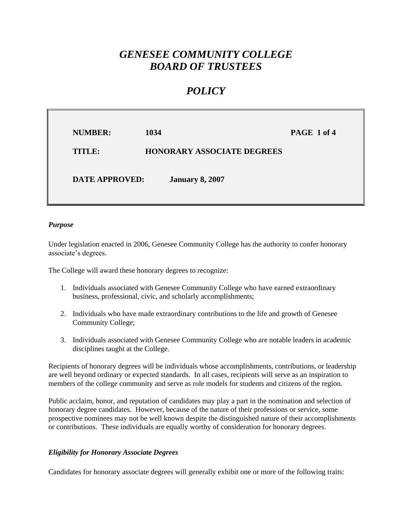# *GENESEE COMMUNITY COLLEGE BOARD OF TRUSTEES*

## *POLICY*

| <b>NUMBER:</b>        | 1034                              | PAGE 1 of 4 |
|-----------------------|-----------------------------------|-------------|
| TITLE:                | <b>HONORARY ASSOCIATE DEGREES</b> |             |
| <b>DATE APPROVED:</b> | <b>January 8, 2007</b>            |             |

### *Purpose*

Under legislation enacted in 2006, Genesee Community College has the authority to confer honorary associate's degrees.

The College will award these honorary degrees to recognize:

- 1. Individuals associated with Genesee Community College who have earned extraordinary business, professional, civic, and scholarly accomplishments;
- 2. Individuals who have made extraordinary contributions to the life and growth of Genesee Community College;
- 3. Individuals associated with Genesee Community College who are notable leaders in academic disciplines taught at the College.

Recipients of honorary degrees will be individuals whose accomplishments, contributions, or leadership are well beyond ordinary or expected standards. In all cases, recipients will serve as an inspiration to members of the college community and serve as role models for students and citizens of the region.

Public acclaim, honor, and reputation of candidates may play a part in the nomination and selection of honorary degree candidates. However, because of the nature of their professions or service, some prospective nominees may not be well known despite the distinguished nature of their accomplishments or contributions. These individuals are equally worthy of consideration for honorary degrees.

### *Eligibility for Honorary Associate Degrees*

Candidates for honorary associate degrees will generally exhibit one or more of the following traits: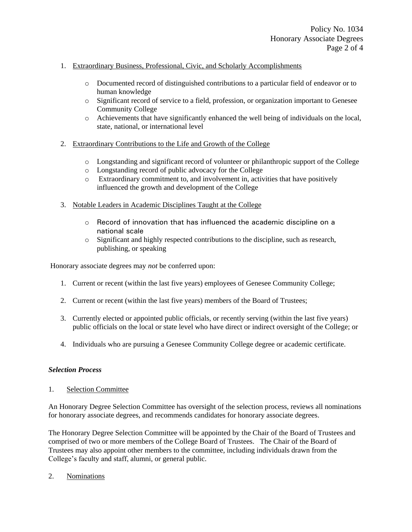- 1. Extraordinary Business, Professional, Civic, and Scholarly Accomplishments
	- o Documented record of distinguished contributions to a particular field of endeavor or to human knowledge
	- o Significant record of service to a field, profession, or organization important to Genesee Community College
	- o Achievements that have significantly enhanced the well being of individuals on the local, state, national, or international level
- 2. Extraordinary Contributions to the Life and Growth of the College
	- o Longstanding and significant record of volunteer or philanthropic support of the College
	- o Longstanding record of public advocacy for the College
	- o Extraordinary commitment to, and involvement in, activities that have positively influenced the growth and development of the College
- 3. Notable Leaders in Academic Disciplines Taught at the College
	- o Record of innovation that has influenced the academic discipline on a national scale
	- o Significant and highly respected contributions to the discipline, such as research, publishing, or speaking

Honorary associate degrees may *not* be conferred upon:

- 1. Current or recent (within the last five years) employees of Genesee Community College;
- 2. Current or recent (within the last five years) members of the Board of Trustees;
- 3. Currently elected or appointed public officials, or recently serving (within the last five years) public officials on the local or state level who have direct or indirect oversight of the College; or
- 4. Individuals who are pursuing a Genesee Community College degree or academic certificate.

#### *Selection Process*

1. Selection Committee

An Honorary Degree Selection Committee has oversight of the selection process, reviews all nominations for honorary associate degrees, and recommends candidates for honorary associate degrees.

The Honorary Degree Selection Committee will be appointed by the Chair of the Board of Trustees and comprised of two or more members of the College Board of Trustees. The Chair of the Board of Trustees may also appoint other members to the committee, including individuals drawn from the College's faculty and staff, alumni, or general public.

2. Nominations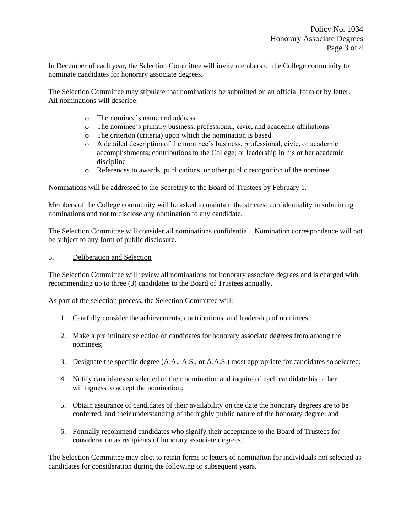In December of each year, the Selection Committee will invite members of the College community to nominate candidates for honorary associate degrees.

The Selection Committee may stipulate that nominations be submitted on an official form or by letter. All nominations will describe:

- o The nominee's name and address
- o The nominee's primary business, professional, civic, and academic affiliations
- o The criterion (criteria) upon which the nomination is based
- o A detailed description of the nominee's business, professional, civic, or academic accomplishments; contributions to the College; or leadership in his or her academic discipline
- o References to awards, publications, or other public recognition of the nominee

Nominations will be addressed to the Secretary to the Board of Trustees by February 1.

Members of the College community will be asked to maintain the strictest confidentiality in submitting nominations and not to disclose any nomination to any candidate.

The Selection Committee will consider all nominations confidential. Nomination correspondence will not be subject to any form of public disclosure.

3. Deliberation and Selection

The Selection Committee will review all nominations for honorary associate degrees and is charged with recommending up to three (3) candidates to the Board of Trustees annually.

As part of the selection process, the Selection Committee will:

- 1. Carefully consider the achievements, contributions, and leadership of nominees;
- 2. Make a preliminary selection of candidates for honorary associate degrees from among the nominees;
- 3. Designate the specific degree (A.A., A.S., or A.A.S.) most appropriate for candidates so selected;
- 4. Notify candidates so selected of their nomination and inquire of each candidate his or her willingness to accept the nomination;
- 5. Obtain assurance of candidates of their availability on the date the honorary degrees are to be conferred, and their understanding of the highly public nature of the honorary degree; and
- 6. Formally recommend candidates who signify their acceptance to the Board of Trustees for consideration as recipients of honorary associate degrees.

The Selection Committee may elect to retain forms or letters of nomination for individuals not selected as candidates for consideration during the following or subsequent years.